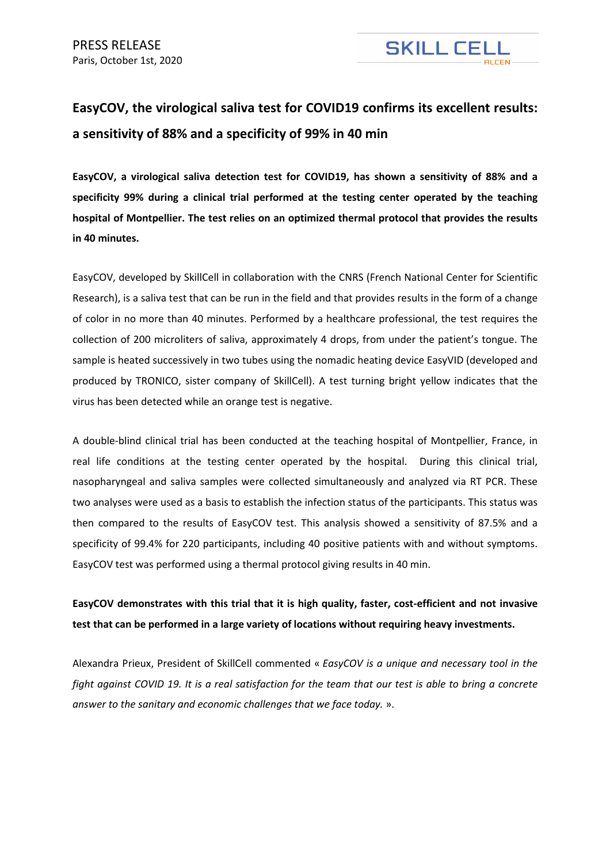

## **EasyCOV, the virological saliva test for COVID19 confirms its excellent results: a sensitivity of 88% and a specificity of 99% in 40 min**

**EasyCOV, a virological saliva detection test for COVID19, has shown a sensitivity of 88% and a specificity 99% during a clinical trial performed at the testing center operated by the teaching hospital of Montpellier. The test relies on an optimized thermal protocol that provides the results in 40 minutes.** 

EasyCOV, developed by SkillCell in collaboration with the CNRS (French National Center for Scientific Research), is a saliva test that can be run in the field and that provides results in the form of a change of color in no more than 40 minutes. Performed by a healthcare professional, the test requires the collection of 200 microliters of saliva, approximately 4 drops, from under the patient's tongue. The sample is heated successively in two tubes using the nomadic heating device EasyVID (developed and produced by TRONICO, sister company of SkillCell). A test turning bright yellow indicates that the virus has been detected while an orange test is negative.

A double-blind clinical trial has been conducted at the teaching hospital of Montpellier, France, in real life conditions at the testing center operated by the hospital. During this clinical trial, nasopharyngeal and saliva samples were collected simultaneously and analyzed via RT PCR. These two analyses were used as a basis to establish the infection status of the participants. This status was then compared to the results of EasyCOV test. This analysis showed a sensitivity of 87.5% and a specificity of 99.4% for 220 participants, including 40 positive patients with and without symptoms. EasyCOV test was performed using a thermal protocol giving results in 40 min.

## **EasyCOV demonstrates with this trial that it is high quality, faster, cost-efficient and not invasive test that can be performed in a large variety of locations without requiring heavy investments.**

Alexandra Prieux, President of SkillCell commented « *EasyCOV is a unique and necessary tool in the fight against COVID 19. It is a real satisfaction for the team that our test is able to bring a concrete answer to the sanitary and economic challenges that we face today.* ».